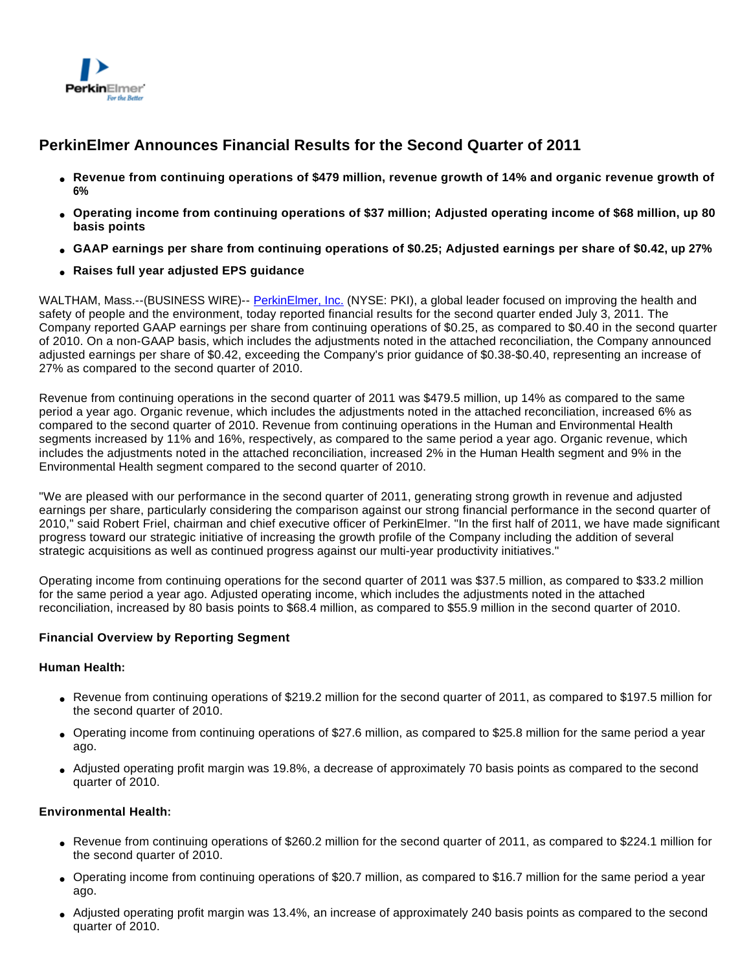

# **PerkinElmer Announces Financial Results for the Second Quarter of 2011**

- **Revenue from continuing operations of \$479 million, revenue growth of 14% and organic revenue growth of 6%**
- **Operating income from continuing operations of \$37 million; Adjusted operating income of \$68 million, up 80 basis points**
- **GAAP earnings per share from continuing operations of \$0.25; Adjusted earnings per share of \$0.42, up 27%**
- **Raises full year adjusted EPS guidance**

WALTHAM, Mass.--(BUSINESS WIRE)-- [PerkinElmer, Inc.](http://cts.businesswire.com/ct/CT?id=smartlink&url=http%3A%2F%2Fwww.perkinelmer.com%2F&esheet=6817999&lan=en-US&anchor=PerkinElmer%2C+Inc.&index=1&md5=d8f39c9b40503785c457504df859ed37) (NYSE: PKI), a global leader focused on improving the health and safety of people and the environment, today reported financial results for the second quarter ended July 3, 2011. The Company reported GAAP earnings per share from continuing operations of \$0.25, as compared to \$0.40 in the second quarter of 2010. On a non-GAAP basis, which includes the adjustments noted in the attached reconciliation, the Company announced adjusted earnings per share of \$0.42, exceeding the Company's prior guidance of \$0.38-\$0.40, representing an increase of 27% as compared to the second quarter of 2010.

Revenue from continuing operations in the second quarter of 2011 was \$479.5 million, up 14% as compared to the same period a year ago. Organic revenue, which includes the adjustments noted in the attached reconciliation, increased 6% as compared to the second quarter of 2010. Revenue from continuing operations in the Human and Environmental Health segments increased by 11% and 16%, respectively, as compared to the same period a year ago. Organic revenue, which includes the adjustments noted in the attached reconciliation, increased 2% in the Human Health segment and 9% in the Environmental Health segment compared to the second quarter of 2010.

"We are pleased with our performance in the second quarter of 2011, generating strong growth in revenue and adjusted earnings per share, particularly considering the comparison against our strong financial performance in the second quarter of 2010," said Robert Friel, chairman and chief executive officer of PerkinElmer. "In the first half of 2011, we have made significant progress toward our strategic initiative of increasing the growth profile of the Company including the addition of several strategic acquisitions as well as continued progress against our multi-year productivity initiatives."

Operating income from continuing operations for the second quarter of 2011 was \$37.5 million, as compared to \$33.2 million for the same period a year ago. Adjusted operating income, which includes the adjustments noted in the attached reconciliation, increased by 80 basis points to \$68.4 million, as compared to \$55.9 million in the second quarter of 2010.

## **Financial Overview by Reporting Segment**

### **Human Health:**

- Revenue from continuing operations of \$219.2 million for the second quarter of 2011, as compared to \$197.5 million for the second quarter of 2010.
- Operating income from continuing operations of \$27.6 million, as compared to \$25.8 million for the same period a year ago.
- Adjusted operating profit margin was 19.8%, a decrease of approximately 70 basis points as compared to the second quarter of 2010.

#### **Environmental Health:**

- Revenue from continuing operations of \$260.2 million for the second quarter of 2011, as compared to \$224.1 million for the second quarter of 2010.
- Operating income from continuing operations of \$20.7 million, as compared to \$16.7 million for the same period a year ago.
- Adjusted operating profit margin was 13.4%, an increase of approximately 240 basis points as compared to the second quarter of 2010.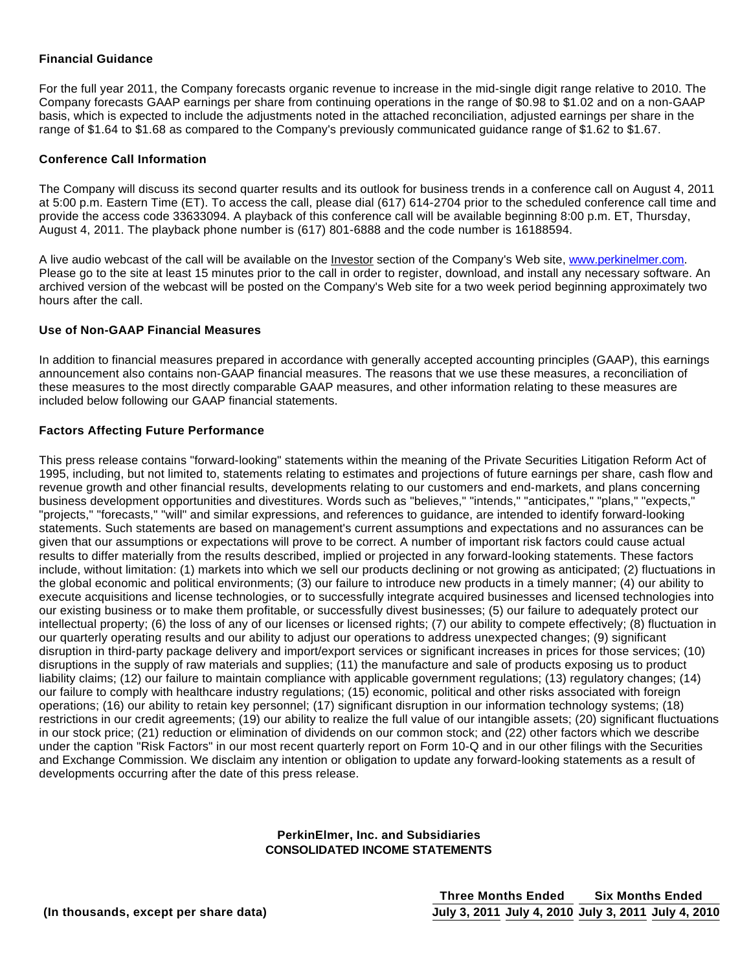### **Financial Guidance**

For the full year 2011, the Company forecasts organic revenue to increase in the mid-single digit range relative to 2010. The Company forecasts GAAP earnings per share from continuing operations in the range of \$0.98 to \$1.02 and on a non-GAAP basis, which is expected to include the adjustments noted in the attached reconciliation, adjusted earnings per share in the range of \$1.64 to \$1.68 as compared to the Company's previously communicated guidance range of \$1.62 to \$1.67.

### **Conference Call Information**

The Company will discuss its second quarter results and its outlook for business trends in a conference call on August 4, 2011 at 5:00 p.m. Eastern Time (ET). To access the call, please dial (617) 614-2704 prior to the scheduled conference call time and provide the access code 33633094. A playback of this conference call will be available beginning 8:00 p.m. ET, Thursday, August 4, 2011. The playback phone number is (617) 801-6888 and the code number is 16188594.

A live audio webcast of the call will be available on the Investor section of the Company's Web site, [www.perkinelmer.com.](http://cts.businesswire.com/ct/CT?id=smartlink&url=http%3A%2F%2Fwww.perkinelmer.com&esheet=6817999&lan=en-US&anchor=www.perkinelmer.com&index=2&md5=82ff3ff8155235050334fef4e6f3ca6b) Please go to the site at least 15 minutes prior to the call in order to register, download, and install any necessary software. An archived version of the webcast will be posted on the Company's Web site for a two week period beginning approximately two hours after the call.

#### **Use of Non-GAAP Financial Measures**

In addition to financial measures prepared in accordance with generally accepted accounting principles (GAAP), this earnings announcement also contains non-GAAP financial measures. The reasons that we use these measures, a reconciliation of these measures to the most directly comparable GAAP measures, and other information relating to these measures are included below following our GAAP financial statements.

#### **Factors Affecting Future Performance**

This press release contains "forward-looking" statements within the meaning of the Private Securities Litigation Reform Act of 1995, including, but not limited to, statements relating to estimates and projections of future earnings per share, cash flow and revenue growth and other financial results, developments relating to our customers and end-markets, and plans concerning business development opportunities and divestitures. Words such as "believes." "intends." "anticipates." "plans." "expects." "projects," "forecasts," "will" and similar expressions, and references to guidance, are intended to identify forward-looking statements. Such statements are based on management's current assumptions and expectations and no assurances can be given that our assumptions or expectations will prove to be correct. A number of important risk factors could cause actual results to differ materially from the results described, implied or projected in any forward-looking statements. These factors include, without limitation: (1) markets into which we sell our products declining or not growing as anticipated; (2) fluctuations in the global economic and political environments; (3) our failure to introduce new products in a timely manner; (4) our ability to execute acquisitions and license technologies, or to successfully integrate acquired businesses and licensed technologies into our existing business or to make them profitable, or successfully divest businesses; (5) our failure to adequately protect our intellectual property; (6) the loss of any of our licenses or licensed rights; (7) our ability to compete effectively; (8) fluctuation in our quarterly operating results and our ability to adjust our operations to address unexpected changes; (9) significant disruption in third-party package delivery and import/export services or significant increases in prices for those services; (10) disruptions in the supply of raw materials and supplies; (11) the manufacture and sale of products exposing us to product liability claims; (12) our failure to maintain compliance with applicable government regulations; (13) regulatory changes; (14) our failure to comply with healthcare industry regulations; (15) economic, political and other risks associated with foreign operations; (16) our ability to retain key personnel; (17) significant disruption in our information technology systems; (18) restrictions in our credit agreements; (19) our ability to realize the full value of our intangible assets; (20) significant fluctuations in our stock price; (21) reduction or elimination of dividends on our common stock; and (22) other factors which we describe under the caption "Risk Factors" in our most recent quarterly report on Form 10-Q and in our other filings with the Securities and Exchange Commission. We disclaim any intention or obligation to update any forward-looking statements as a result of developments occurring after the date of this press release.

#### **PerkinElmer, Inc. and Subsidiaries CONSOLIDATED INCOME STATEMENTS**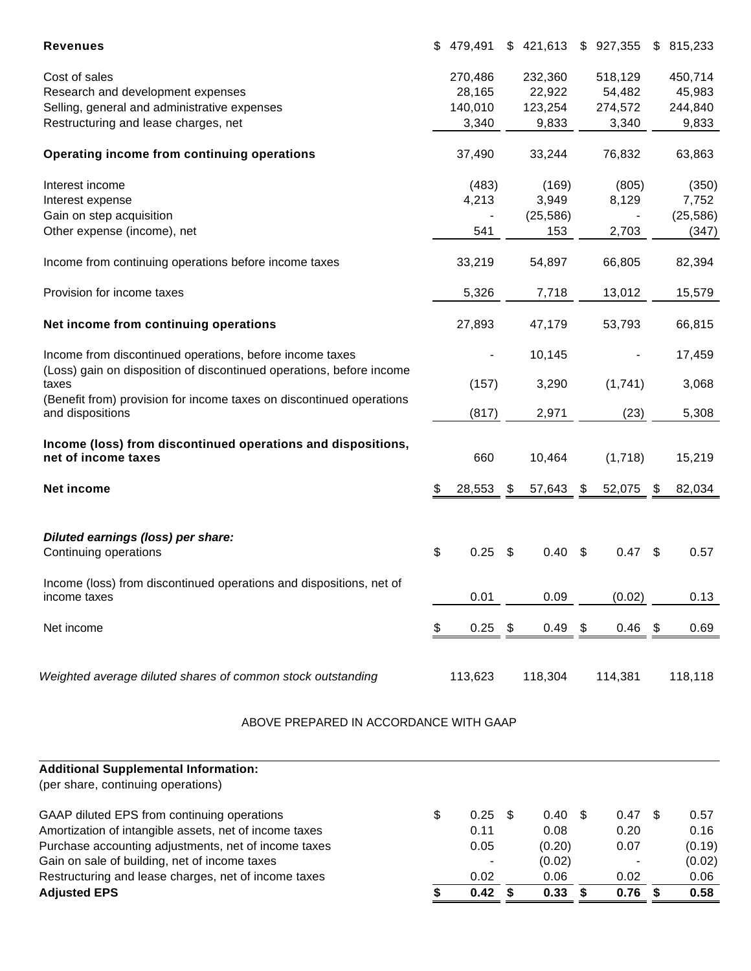| <b>Revenues</b>                                                                                                                  | \$<br>479,491   | \$421,613    | \$927,355    | \$<br>815,233 |
|----------------------------------------------------------------------------------------------------------------------------------|-----------------|--------------|--------------|---------------|
| Cost of sales                                                                                                                    | 270,486         | 232,360      | 518,129      | 450,714       |
| Research and development expenses                                                                                                | 28,165          | 22,922       | 54,482       | 45,983        |
| Selling, general and administrative expenses                                                                                     | 140,010         | 123,254      | 274,572      | 244,840       |
| Restructuring and lease charges, net                                                                                             | 3,340           | 9,833        | 3,340        | 9,833         |
| Operating income from continuing operations                                                                                      | 37,490          | 33,244       | 76,832       | 63,863        |
| Interest income                                                                                                                  | (483)           | (169)        | (805)        | (350)         |
| Interest expense                                                                                                                 | 4,213           | 3,949        | 8,129        | 7,752         |
| Gain on step acquisition                                                                                                         |                 | (25, 586)    |              | (25, 586)     |
| Other expense (income), net                                                                                                      | 541             | 153          | 2,703        | (347)         |
| Income from continuing operations before income taxes                                                                            | 33,219          | 54,897       | 66,805       | 82,394        |
| Provision for income taxes                                                                                                       | 5,326           | 7,718        | 13,012       | 15,579        |
| Net income from continuing operations                                                                                            | 27,893          | 47,179       | 53,793       | 66,815        |
| Income from discontinued operations, before income taxes<br>(Loss) gain on disposition of discontinued operations, before income |                 | 10,145       |              | 17,459        |
| taxes                                                                                                                            | (157)           | 3,290        | (1,741)      | 3,068         |
| (Benefit from) provision for income taxes on discontinued operations<br>and dispositions                                         | (817)           | 2,971        | (23)         | 5,308         |
| Income (loss) from discontinued operations and dispositions,<br>net of income taxes                                              | 660             | 10,464       | (1,718)      | 15,219        |
| Net income                                                                                                                       | \$<br>28,553    | \$<br>57,643 | \$<br>52,075 | \$<br>82,034  |
|                                                                                                                                  |                 |              |              |               |
| Diluted earnings (loss) per share:<br>Continuing operations                                                                      | \$<br>0.25      | \$<br>0.40   | \$<br>0.47   | \$<br>0.57    |
| Income (loss) from discontinued operations and dispositions, net of<br>income taxes                                              | 0.01            | 0.09         | (0.02)       | 0.13          |
| Net income                                                                                                                       | \$<br>$0.25$ \$ | $0.49$ \$    | $0.46$ \$    | 0.69          |
|                                                                                                                                  |                 |              |              |               |
| Weighted average diluted shares of common stock outstanding                                                                      | 113,623         | 118,304      | 114,381      | 118,118       |

## ABOVE PREPARED IN ACCORDANCE WITH GAAP

| <b>Additional Supplemental Information:</b>            |   |      |        |      |        |
|--------------------------------------------------------|---|------|--------|------|--------|
| (per share, continuing operations)                     |   |      |        |      |        |
| GAAP diluted EPS from continuing operations            | S | 0.25 | 0.40   | 0.47 | 0.57   |
| Amortization of intangible assets, net of income taxes |   | 0.11 | 0.08   | 0.20 | 0.16   |
| Purchase accounting adjustments, net of income taxes   |   | 0.05 | (0.20) | 0.07 | (0.19) |
| Gain on sale of building, net of income taxes          |   |      | (0.02) |      | (0.02) |
| Restructuring and lease charges, net of income taxes   |   | 0.02 | 0.06   | 0.02 | 0.06   |
| <b>Adjusted EPS</b>                                    |   | 0.42 | 0.33   | 0.76 | 0.58   |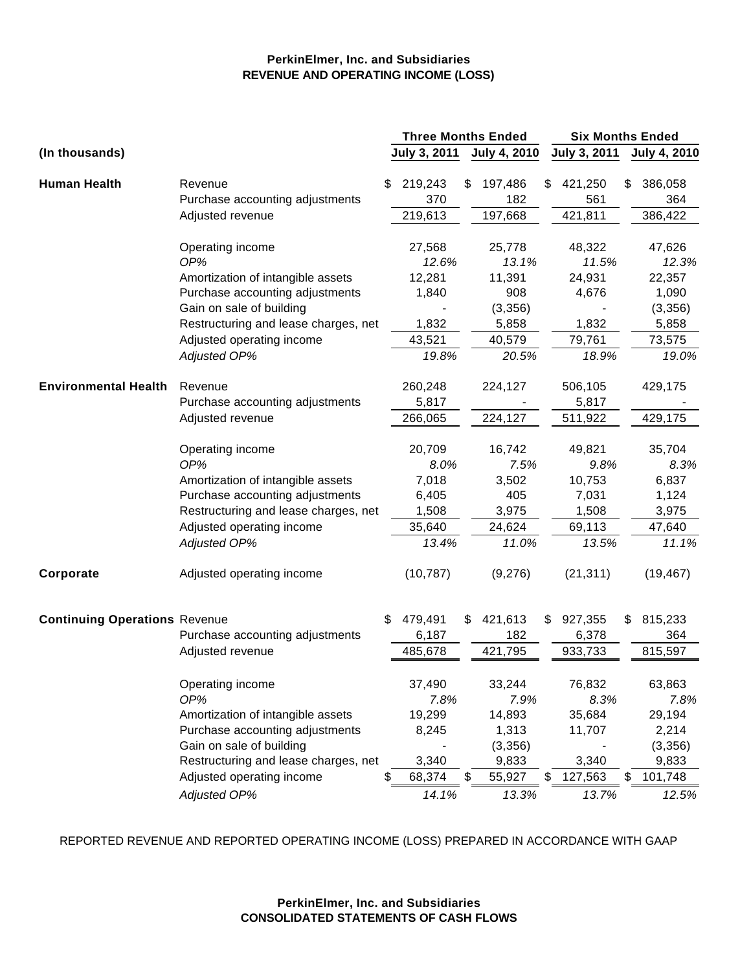### **PerkinElmer, Inc. and Subsidiaries REVENUE AND OPERATING INCOME (LOSS)**

|                                      |                                      | <b>Three Months Ended</b> |              |                     | <b>Six Months Ended</b> |              |    |                     |
|--------------------------------------|--------------------------------------|---------------------------|--------------|---------------------|-------------------------|--------------|----|---------------------|
| (In thousands)                       |                                      |                           | July 3, 2011 | <b>July 4, 2010</b> |                         | July 3, 2011 |    | <b>July 4, 2010</b> |
| <b>Human Health</b>                  | Revenue                              | \$                        | 219,243      | \$<br>197,486       | \$                      | 421,250      | \$ | 386,058             |
|                                      | Purchase accounting adjustments      |                           | 370          | 182                 |                         | 561          |    | 364                 |
|                                      | Adjusted revenue                     |                           | 219,613      | 197,668             |                         | 421,811      |    | 386,422             |
|                                      | Operating income                     |                           | 27,568       | 25,778              |                         | 48,322       |    | 47,626              |
|                                      | OP%                                  |                           | 12.6%        | 13.1%               |                         | 11.5%        |    | 12.3%               |
|                                      | Amortization of intangible assets    |                           | 12,281       | 11,391              |                         | 24,931       |    | 22,357              |
|                                      | Purchase accounting adjustments      |                           | 1,840        | 908                 |                         | 4,676        |    | 1,090               |
|                                      | Gain on sale of building             |                           |              | (3,356)             |                         |              |    | (3,356)             |
|                                      | Restructuring and lease charges, net |                           | 1,832        | 5,858               |                         | 1,832        |    | 5,858               |
|                                      | Adjusted operating income            |                           | 43,521       | 40,579              |                         | 79,761       |    | 73,575              |
|                                      | Adjusted OP%                         |                           | 19.8%        | 20.5%               |                         | 18.9%        |    | 19.0%               |
| <b>Environmental Health</b>          | Revenue                              |                           | 260,248      | 224,127             |                         | 506,105      |    | 429,175             |
|                                      | Purchase accounting adjustments      |                           | 5,817        |                     |                         | 5,817        |    |                     |
|                                      | Adjusted revenue                     |                           | 266,065      | 224,127             |                         | 511,922      |    | 429,175             |
|                                      | Operating income                     |                           | 20,709       | 16,742              |                         | 49,821       |    | 35,704              |
|                                      | OP%                                  |                           | 8.0%         | 7.5%                |                         | 9.8%         |    | 8.3%                |
|                                      | Amortization of intangible assets    |                           | 7,018        | 3,502               |                         | 10,753       |    | 6,837               |
|                                      | Purchase accounting adjustments      |                           | 6,405        | 405                 |                         | 7,031        |    | 1,124               |
|                                      | Restructuring and lease charges, net |                           | 1,508        | 3,975               |                         | 1,508        |    | 3,975               |
|                                      | Adjusted operating income            |                           | 35,640       | 24,624              |                         | 69,113       |    | 47,640              |
|                                      | Adjusted OP%                         |                           | 13.4%        | 11.0%               |                         | 13.5%        |    | 11.1%               |
| Corporate                            | Adjusted operating income            |                           | (10, 787)    | (9,276)             |                         | (21, 311)    |    | (19, 467)           |
| <b>Continuing Operations Revenue</b> |                                      | \$                        | 479,491      | \$<br>421,613       | \$                      | 927,355      | \$ | 815,233             |
|                                      | Purchase accounting adjustments      |                           | 6,187        | 182                 |                         | 6,378        |    | 364                 |
|                                      | Adjusted revenue                     |                           | 485,678      | 421,795             |                         | 933,733      |    | 815,597             |
|                                      | Operating income                     |                           | 37,490       | 33,244              |                         | 76,832       |    | 63,863              |
|                                      | OP%                                  |                           | 7.8%         | 7.9%                |                         | 8.3%         |    | 7.8%                |
|                                      | Amortization of intangible assets    |                           | 19,299       | 14,893              |                         | 35,684       |    | 29,194              |
|                                      | Purchase accounting adjustments      |                           | 8,245        | 1,313               |                         | 11,707       |    | 2,214               |
|                                      | Gain on sale of building             |                           |              | (3, 356)            |                         |              |    | (3,356)             |
|                                      | Restructuring and lease charges, net |                           | 3,340        | 9,833               |                         | 3,340        |    | 9,833               |
|                                      | Adjusted operating income            | \$                        | 68,374       | \$<br>55,927        | S                       | 127,563      | \$ | 101,748             |
|                                      | Adjusted OP%                         |                           | 14.1%        | 13.3%               |                         | 13.7%        |    | 12.5%               |

REPORTED REVENUE AND REPORTED OPERATING INCOME (LOSS) PREPARED IN ACCORDANCE WITH GAAP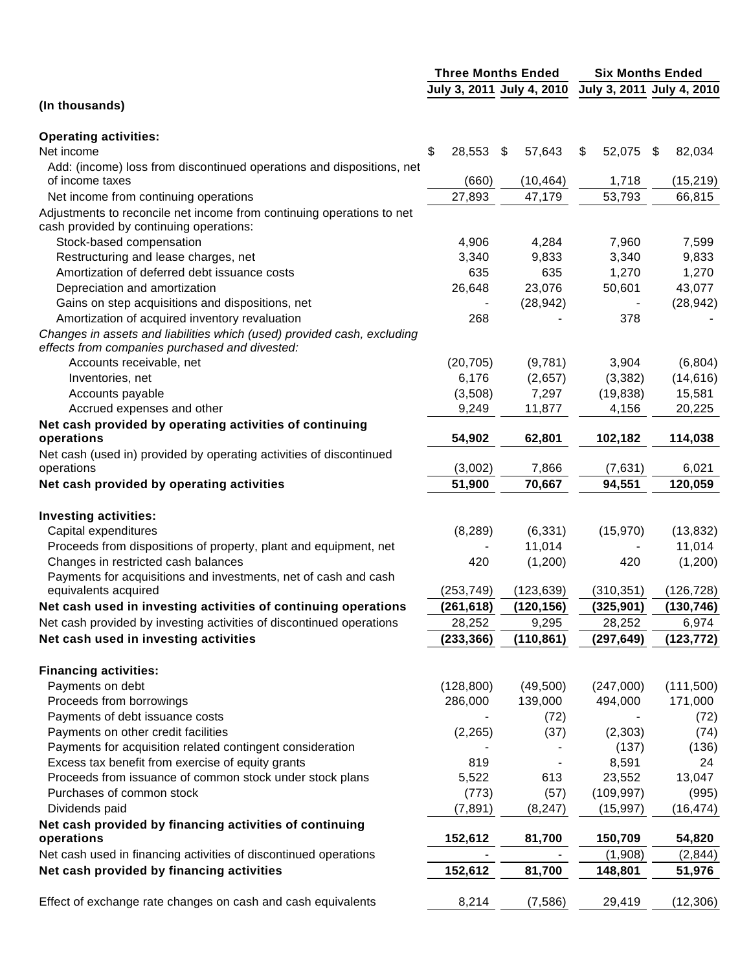|                                                                                                                           | <b>Three Months Ended</b> |                   | <b>Six Months Ended</b>   |                   |  |  |  |
|---------------------------------------------------------------------------------------------------------------------------|---------------------------|-------------------|---------------------------|-------------------|--|--|--|
|                                                                                                                           | July 3, 2011 July 4, 2010 |                   | July 3, 2011 July 4, 2010 |                   |  |  |  |
| (In thousands)                                                                                                            |                           |                   |                           |                   |  |  |  |
| <b>Operating activities:</b>                                                                                              |                           |                   |                           |                   |  |  |  |
| Net income                                                                                                                | \$<br>28,553              | \$<br>57,643      | \$<br>52,075              | 82,034<br>\$      |  |  |  |
| Add: (income) loss from discontinued operations and dispositions, net                                                     |                           |                   |                           |                   |  |  |  |
| of income taxes                                                                                                           | (660)                     | (10, 464)         | 1,718                     | (15, 219)         |  |  |  |
| Net income from continuing operations                                                                                     | 27,893                    | 47,179            | 53,793                    | 66,815            |  |  |  |
| Adjustments to reconcile net income from continuing operations to net<br>cash provided by continuing operations:          |                           |                   |                           |                   |  |  |  |
| Stock-based compensation                                                                                                  | 4,906                     | 4,284             | 7,960                     | 7,599             |  |  |  |
| Restructuring and lease charges, net                                                                                      | 3,340                     | 9,833             | 3,340                     | 9,833             |  |  |  |
| Amortization of deferred debt issuance costs                                                                              | 635                       | 635               | 1,270                     | 1,270             |  |  |  |
| Depreciation and amortization                                                                                             | 26,648                    | 23,076            | 50,601                    | 43,077            |  |  |  |
| Gains on step acquisitions and dispositions, net                                                                          |                           | (28, 942)         |                           | (28, 942)         |  |  |  |
| Amortization of acquired inventory revaluation                                                                            | 268                       |                   | 378                       |                   |  |  |  |
| Changes in assets and liabilities which (used) provided cash, excluding<br>effects from companies purchased and divested: |                           |                   |                           |                   |  |  |  |
| Accounts receivable, net                                                                                                  | (20, 705)                 | (9,781)           | 3,904                     | (6,804)           |  |  |  |
| Inventories, net                                                                                                          | 6,176                     | (2,657)           | (3, 382)                  | (14, 616)         |  |  |  |
| Accounts payable                                                                                                          | (3,508)                   | 7,297             | (19, 838)                 | 15,581            |  |  |  |
| Accrued expenses and other                                                                                                | 9,249                     | 11,877            | 4,156                     | 20,225            |  |  |  |
| Net cash provided by operating activities of continuing                                                                   |                           |                   |                           |                   |  |  |  |
| operations<br>Net cash (used in) provided by operating activities of discontinued                                         | 54,902                    | 62,801            | 102,182                   | 114,038           |  |  |  |
| operations                                                                                                                | (3,002)                   | 7,866             | (7,631)                   | 6,021             |  |  |  |
| Net cash provided by operating activities                                                                                 | 51,900                    | 70,667            | 94,551                    | 120,059           |  |  |  |
|                                                                                                                           |                           |                   |                           |                   |  |  |  |
| <b>Investing activities:</b>                                                                                              | (8, 289)                  | (6, 331)          | (15,970)                  |                   |  |  |  |
| Capital expenditures                                                                                                      |                           |                   |                           | (13, 832)         |  |  |  |
| Proceeds from dispositions of property, plant and equipment, net<br>Changes in restricted cash balances                   | 420                       | 11,014<br>(1,200) | 420                       | 11,014<br>(1,200) |  |  |  |
| Payments for acquisitions and investments, net of cash and cash                                                           |                           |                   |                           |                   |  |  |  |
| equivalents acquired                                                                                                      | (253, 749)                | (123,639)         | (310, 351)                | (126, 728)        |  |  |  |
| Net cash used in investing activities of continuing operations                                                            | (261, 618)                | (120, 156)        | (325, 901)                | (130, 746)        |  |  |  |
|                                                                                                                           |                           |                   |                           |                   |  |  |  |
| Net cash provided by investing activities of discontinued operations                                                      | 28,252                    | 9,295             | 28,252                    | 6,974             |  |  |  |
| Net cash used in investing activities                                                                                     | (233, 366)                | (110, 861)        | (297,649)                 | (123, 772)        |  |  |  |
| <b>Financing activities:</b>                                                                                              |                           |                   |                           |                   |  |  |  |
| Payments on debt                                                                                                          | (128, 800)                | (49, 500)         | (247,000)                 | (111,500)         |  |  |  |
| Proceeds from borrowings                                                                                                  | 286,000                   | 139,000           | 494,000                   | 171,000           |  |  |  |
| Payments of debt issuance costs                                                                                           |                           | (72)              |                           | (72)              |  |  |  |
| Payments on other credit facilities                                                                                       | (2, 265)                  | (37)              | (2,303)                   | (74)              |  |  |  |
| Payments for acquisition related contingent consideration                                                                 |                           |                   | (137)                     | (136)             |  |  |  |
| Excess tax benefit from exercise of equity grants                                                                         | 819                       |                   | 8,591                     | 24                |  |  |  |
| Proceeds from issuance of common stock under stock plans                                                                  | 5,522                     | 613               | 23,552                    | 13,047            |  |  |  |
| Purchases of common stock                                                                                                 | (773)                     | (57)              | (109, 997)                | (995)             |  |  |  |
| Dividends paid                                                                                                            | (7, 891)                  | (8, 247)          | (15, 997)                 | (16, 474)         |  |  |  |
| Net cash provided by financing activities of continuing                                                                   |                           |                   |                           |                   |  |  |  |
| operations                                                                                                                | 152,612                   | 81,700            | 150,709                   | 54,820            |  |  |  |
| Net cash used in financing activities of discontinued operations                                                          |                           |                   | (1,908)                   | (2,844)           |  |  |  |
| Net cash provided by financing activities                                                                                 | 152,612                   | 81,700            | 148,801                   | 51,976            |  |  |  |
| Effect of exchange rate changes on cash and cash equivalents                                                              | 8,214                     | (7, 586)          | 29,419                    | (12, 306)         |  |  |  |
|                                                                                                                           |                           |                   |                           |                   |  |  |  |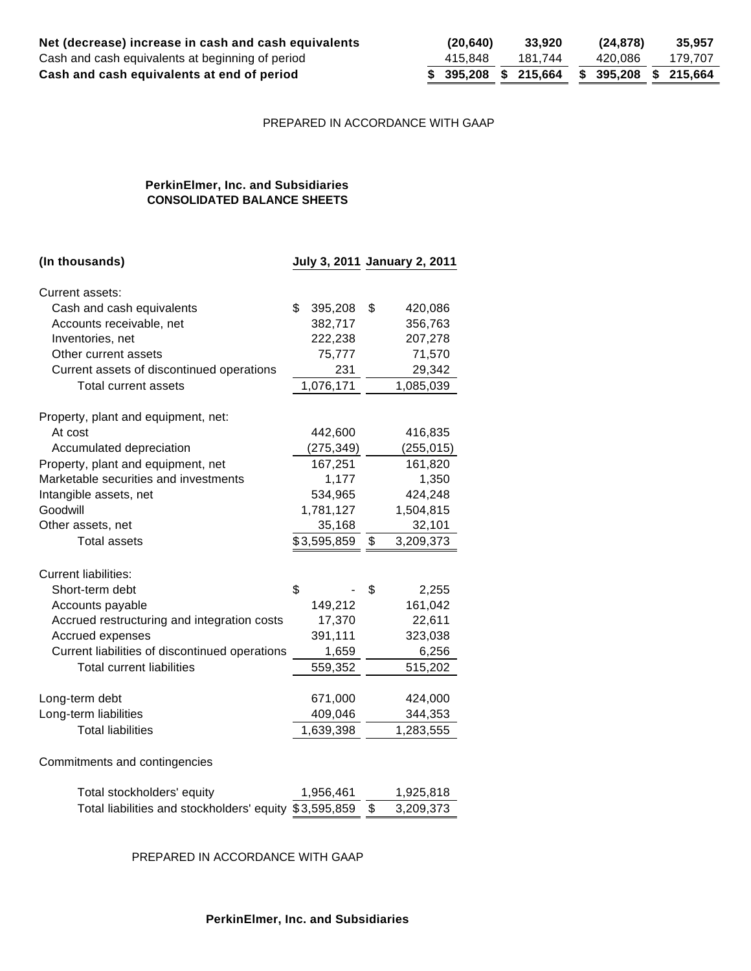| Net (decrease) increase in cash and cash equivalents | (20, 640) | 33.920  | (24, 878)                                   | 35,957  |
|------------------------------------------------------|-----------|---------|---------------------------------------------|---------|
| Cash and cash equivalents at beginning of period     | 415.848   | 181.744 | 420.086                                     | 179.707 |
| Cash and cash equivalents at end of period           |           |         | $$395,208$ \$ 215,664 \$ 395,208 \$ 215,664 |         |

## PREPARED IN ACCORDANCE WITH GAAP

## **PerkinElmer, Inc. and Subsidiaries CONSOLIDATED BALANCE SHEETS**

| (In thousands)                                         |               | July 3, 2011 January 2, 2011 |  |  |  |
|--------------------------------------------------------|---------------|------------------------------|--|--|--|
|                                                        |               |                              |  |  |  |
| Current assets:                                        |               |                              |  |  |  |
| Cash and cash equivalents                              | \$<br>395,208 | 420,086<br>\$                |  |  |  |
| Accounts receivable, net                               | 382,717       | 356,763                      |  |  |  |
| Inventories, net                                       | 222,238       | 207,278                      |  |  |  |
| Other current assets                                   | 75,777        | 71,570                       |  |  |  |
| Current assets of discontinued operations              | 231           | 29,342                       |  |  |  |
| Total current assets                                   | 1,076,171     | 1,085,039                    |  |  |  |
| Property, plant and equipment, net:                    |               |                              |  |  |  |
| At cost                                                | 442,600       | 416,835                      |  |  |  |
| Accumulated depreciation                               | (275, 349)    | (255, 015)                   |  |  |  |
| Property, plant and equipment, net                     | 167,251       | 161,820                      |  |  |  |
| Marketable securities and investments                  | 1,177         | 1,350                        |  |  |  |
| Intangible assets, net                                 | 534,965       | 424,248                      |  |  |  |
| Goodwill                                               | 1,781,127     | 1,504,815                    |  |  |  |
| Other assets, net                                      | 35,168        | 32,101                       |  |  |  |
| <b>Total assets</b>                                    | \$3,595,859   | 3,209,373<br>\$              |  |  |  |
| <b>Current liabilities:</b>                            |               |                              |  |  |  |
| Short-term debt                                        | \$            | \$                           |  |  |  |
|                                                        | 149,212       | 2,255<br>161,042             |  |  |  |
| Accounts payable                                       |               | 22,611                       |  |  |  |
| Accrued restructuring and integration costs            | 17,370        |                              |  |  |  |
| Accrued expenses                                       | 391,111       | 323,038                      |  |  |  |
| Current liabilities of discontinued operations         | 1,659         | 6,256                        |  |  |  |
| <b>Total current liabilities</b>                       | 559,352       | 515,202                      |  |  |  |
| Long-term debt                                         | 671,000       | 424,000                      |  |  |  |
| Long-term liabilities                                  | 409,046       | 344,353                      |  |  |  |
| <b>Total liabilities</b>                               | 1,639,398     | 1,283,555                    |  |  |  |
| Commitments and contingencies                          |               |                              |  |  |  |
| Total stockholders' equity                             | 1,956,461     | 1,925,818                    |  |  |  |
| Total liabilities and stockholders' equity \$3,595,859 |               | \$<br>3,209,373              |  |  |  |

PREPARED IN ACCORDANCE WITH GAAP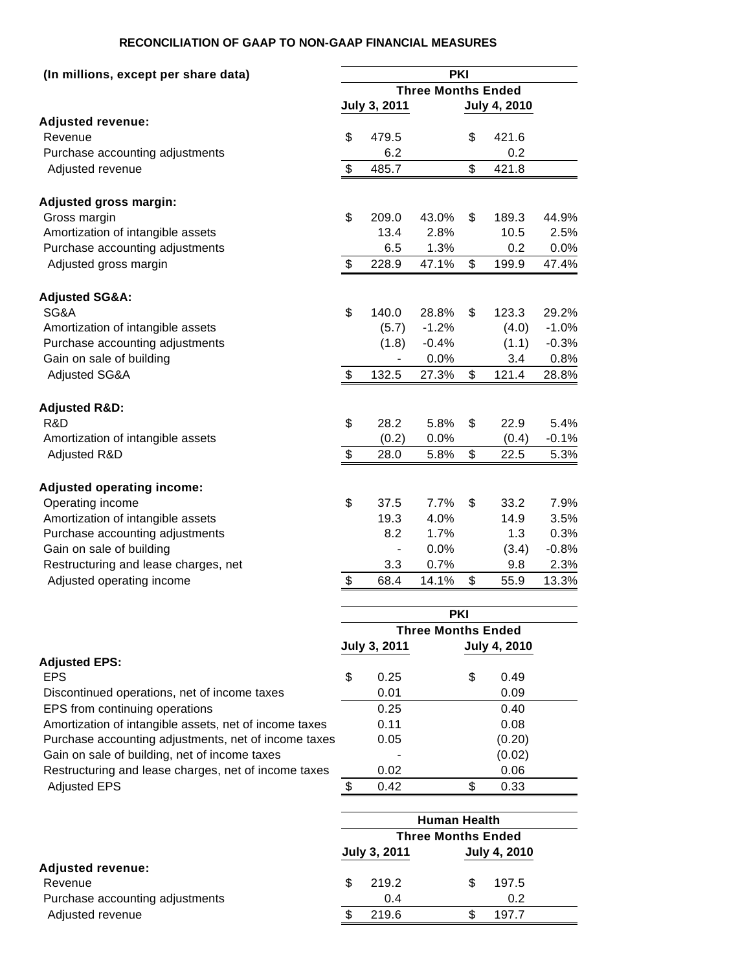## **RECONCILIATION OF GAAP TO NON-GAAP FINANCIAL MEASURES**

| (In millions, except per share data) | <b>PKI</b> |                          |                           |    |                     |         |  |  |  |
|--------------------------------------|------------|--------------------------|---------------------------|----|---------------------|---------|--|--|--|
|                                      |            |                          | <b>Three Months Ended</b> |    |                     |         |  |  |  |
|                                      |            | <b>July 3, 2011</b>      |                           |    | <b>July 4, 2010</b> |         |  |  |  |
| <b>Adjusted revenue:</b>             |            |                          |                           |    |                     |         |  |  |  |
| Revenue                              | \$         | 479.5                    |                           | \$ | 421.6               |         |  |  |  |
| Purchase accounting adjustments      |            | 6.2                      |                           |    | 0.2                 |         |  |  |  |
| Adjusted revenue                     | \$         | 485.7                    |                           | \$ | 421.8               |         |  |  |  |
| <b>Adjusted gross margin:</b>        |            |                          |                           |    |                     |         |  |  |  |
| Gross margin                         | \$         | 209.0                    | 43.0%                     | \$ | 189.3               | 44.9%   |  |  |  |
| Amortization of intangible assets    |            | 13.4                     | 2.8%                      |    | 10.5                | 2.5%    |  |  |  |
| Purchase accounting adjustments      |            | 6.5                      | 1.3%                      |    | 0.2                 | 0.0%    |  |  |  |
| Adjusted gross margin                | \$         | 228.9                    | 47.1%                     | \$ | 199.9               | 47.4%   |  |  |  |
| <b>Adjusted SG&amp;A:</b>            |            |                          |                           |    |                     |         |  |  |  |
| SG&A                                 | \$         | 140.0                    | 28.8%                     | \$ | 123.3               | 29.2%   |  |  |  |
| Amortization of intangible assets    |            | (5.7)                    | $-1.2%$                   |    | (4.0)               | $-1.0%$ |  |  |  |
| Purchase accounting adjustments      |            | (1.8)                    | $-0.4%$                   |    | (1.1)               | $-0.3%$ |  |  |  |
| Gain on sale of building             |            | $\overline{\phantom{0}}$ | 0.0%                      |    | 3.4                 | 0.8%    |  |  |  |
| Adjusted SG&A                        | \$         | 132.5                    | 27.3%                     | \$ | 121.4               | 28.8%   |  |  |  |
| <b>Adjusted R&amp;D:</b>             |            |                          |                           |    |                     |         |  |  |  |
| R&D                                  | \$         | 28.2                     | 5.8%                      | \$ | 22.9                | 5.4%    |  |  |  |
| Amortization of intangible assets    |            | (0.2)                    | 0.0%                      |    | (0.4)               | $-0.1%$ |  |  |  |
| Adjusted R&D                         | \$         | 28.0                     | 5.8%                      | \$ | 22.5                | 5.3%    |  |  |  |
| <b>Adjusted operating income:</b>    |            |                          |                           |    |                     |         |  |  |  |
| Operating income                     | \$         | 37.5                     | 7.7%                      | \$ | 33.2                | 7.9%    |  |  |  |
| Amortization of intangible assets    |            | 19.3                     | 4.0%                      |    | 14.9                | 3.5%    |  |  |  |
| Purchase accounting adjustments      |            | 8.2                      | 1.7%                      |    | 1.3                 | 0.3%    |  |  |  |
| Gain on sale of building             |            |                          | 0.0%                      |    | (3.4)               | $-0.8%$ |  |  |  |
| Restructuring and lease charges, net |            | 3.3                      | 0.7%                      |    | 9.8                 | 2.3%    |  |  |  |
| Adjusted operating income            | \$         | 68.4                     | 14.1%                     | \$ | 55.9                | 13.3%   |  |  |  |

|                                                        |                           |                     | <b>PKI</b>          |                     |
|--------------------------------------------------------|---------------------------|---------------------|---------------------|---------------------|
|                                                        | <b>Three Months Ended</b> |                     |                     |                     |
|                                                        |                           | <b>July 3, 2011</b> |                     | <b>July 4, 2010</b> |
| <b>Adjusted EPS:</b>                                   |                           |                     |                     |                     |
| <b>EPS</b>                                             | \$                        | 0.25                | \$                  | 0.49                |
| Discontinued operations, net of income taxes           |                           | 0.01                |                     | 0.09                |
| EPS from continuing operations                         |                           | 0.25                |                     | 0.40                |
| Amortization of intangible assets, net of income taxes |                           | 0.11                |                     | 0.08                |
| Purchase accounting adjustments, net of income taxes   |                           | 0.05                |                     | (0.20)              |
| Gain on sale of building, net of income taxes          |                           |                     |                     | (0.02)              |
| Restructuring and lease charges, net of income taxes   |                           | 0.02                |                     | 0.06                |
| <b>Adjusted EPS</b>                                    | ደ                         | 0.42                | \$                  | 0.33                |
|                                                        |                           |                     |                     |                     |
|                                                        |                           |                     | <b>Human Health</b> |                     |

|                                 | <b>Human Health</b> |              |                           |                     |  |  |  |  |
|---------------------------------|---------------------|--------------|---------------------------|---------------------|--|--|--|--|
|                                 |                     |              | <b>Three Months Ended</b> |                     |  |  |  |  |
|                                 |                     | July 3, 2011 |                           | <b>July 4, 2010</b> |  |  |  |  |
| <b>Adjusted revenue:</b>        |                     |              |                           |                     |  |  |  |  |
| Revenue                         | \$.                 | 219.2        | S                         | 197.5               |  |  |  |  |
| Purchase accounting adjustments |                     | 0.4          |                           | 0.2                 |  |  |  |  |
| Adjusted revenue                |                     | 219.6        | S                         | 197.7               |  |  |  |  |
|                                 |                     |              |                           |                     |  |  |  |  |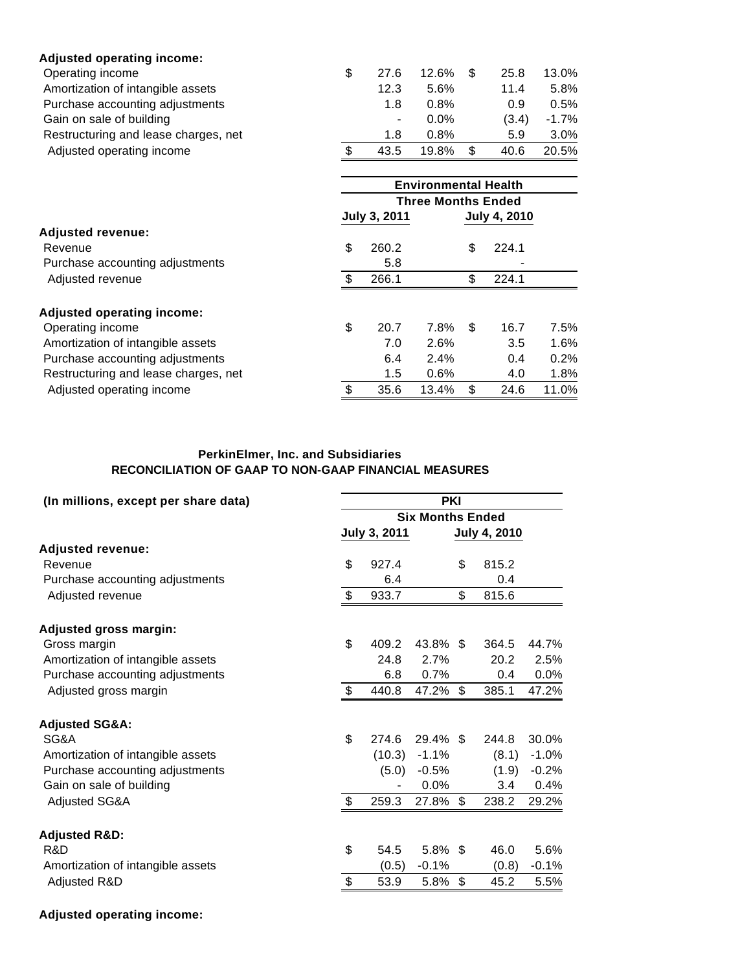| \$<br>27.6     | 12.6%               | \$<br>25.8  | 13.0%                                                                           |
|----------------|---------------------|-------------|---------------------------------------------------------------------------------|
| 12.3           | 5.6%                | 11.4        | 5.8%                                                                            |
| 1.8            | 0.8%                | 0.9         | 0.5%                                                                            |
| $\blacksquare$ | 0.0%                | (3.4)       | $-1.7%$                                                                         |
| 1.8            | 0.8%                | 5.9         | 3.0%                                                                            |
| \$<br>43.5     | 19.8%               | \$<br>40.6  | 20.5%                                                                           |
|                |                     |             |                                                                                 |
|                |                     |             |                                                                                 |
|                |                     |             |                                                                                 |
|                |                     |             |                                                                                 |
| \$<br>260.2    |                     | \$<br>224.1 |                                                                                 |
| 5.8            |                     |             |                                                                                 |
| \$<br>266.1    |                     | \$<br>224.1 |                                                                                 |
|                | <b>July 3, 2011</b> |             | <b>Environmental Health</b><br><b>Three Months Ended</b><br><b>July 4, 2010</b> |

# **Adjusted operating income:**

| Operating income                     | 20.7 | $7.8\%$ \$ | 16.7 | 7.5%    |
|--------------------------------------|------|------------|------|---------|
| Amortization of intangible assets    | 7.0  | 2.6%       | 3.5  | 1.6%    |
| Purchase accounting adjustments      | 6.4  | 2.4%       | 0.4  | $0.2\%$ |
| Restructuring and lease charges, net | 1.5  | 0.6%       | 4.0  | 1.8%    |
| Adjusted operating income            | 35.6 | 13.4%      | 24.6 | 11.0%   |

## **PerkinElmer, Inc. and Subsidiaries RECONCILIATION OF GAAP TO NON-GAAP FINANCIAL MEASURES**

| (In millions, except per share data) |                            | <b>PKI</b>              |            |    |                     |          |  |  |  |
|--------------------------------------|----------------------------|-------------------------|------------|----|---------------------|----------|--|--|--|
|                                      |                            | <b>Six Months Ended</b> |            |    |                     |          |  |  |  |
|                                      |                            | July 3, 2011            |            |    | <b>July 4, 2010</b> |          |  |  |  |
| <b>Adjusted revenue:</b>             |                            |                         |            |    |                     |          |  |  |  |
| Revenue                              | \$                         | 927.4                   |            | \$ | 815.2               |          |  |  |  |
| Purchase accounting adjustments      |                            | 6.4                     |            |    | 0.4                 |          |  |  |  |
| Adjusted revenue                     | \$                         | 933.7                   |            | \$ | 815.6               |          |  |  |  |
| <b>Adjusted gross margin:</b>        |                            |                         |            |    |                     |          |  |  |  |
| Gross margin                         | \$                         | 409.2                   | 43.8% \$   |    | 364.5               | 44.7%    |  |  |  |
| Amortization of intangible assets    |                            | 24.8                    | 2.7%       |    | 20.2                | 2.5%     |  |  |  |
| Purchase accounting adjustments      |                            | 6.8                     | 0.7%       |    | 0.4                 | $0.0\%$  |  |  |  |
| Adjusted gross margin                | $\boldsymbol{\mathsf{\$}}$ | 440.8                   | 47.2% \$   |    | 385.1               | 47.2%    |  |  |  |
| <b>Adjusted SG&amp;A:</b>            |                            |                         |            |    |                     |          |  |  |  |
| SG&A                                 | \$                         | 274.6                   | 29.4% \$   |    | 244.8               | 30.0%    |  |  |  |
| Amortization of intangible assets    |                            | (10.3)                  | $-1.1%$    |    | (8.1)               | $-1.0\%$ |  |  |  |
| Purchase accounting adjustments      |                            | (5.0)                   | $-0.5%$    |    | (1.9)               | $-0.2%$  |  |  |  |
| Gain on sale of building             |                            |                         | 0.0%       |    | 3.4                 | 0.4%     |  |  |  |
| <b>Adjusted SG&amp;A</b>             | $\$\$                      | 259.3                   | 27.8% \$   |    | 238.2               | 29.2%    |  |  |  |
| <b>Adjusted R&amp;D:</b>             |                            |                         |            |    |                     |          |  |  |  |
| R&D                                  | \$                         | 54.5                    | $5.8\%$ \$ |    | 46.0                | 5.6%     |  |  |  |
| Amortization of intangible assets    |                            | (0.5)                   | $-0.1%$    |    | (0.8)               | $-0.1%$  |  |  |  |
| Adjusted R&D                         | \$                         | 53.9                    | 5.8%       | \$ | 45.2                | 5.5%     |  |  |  |
|                                      |                            |                         |            |    |                     |          |  |  |  |

## **Adjusted operating income:**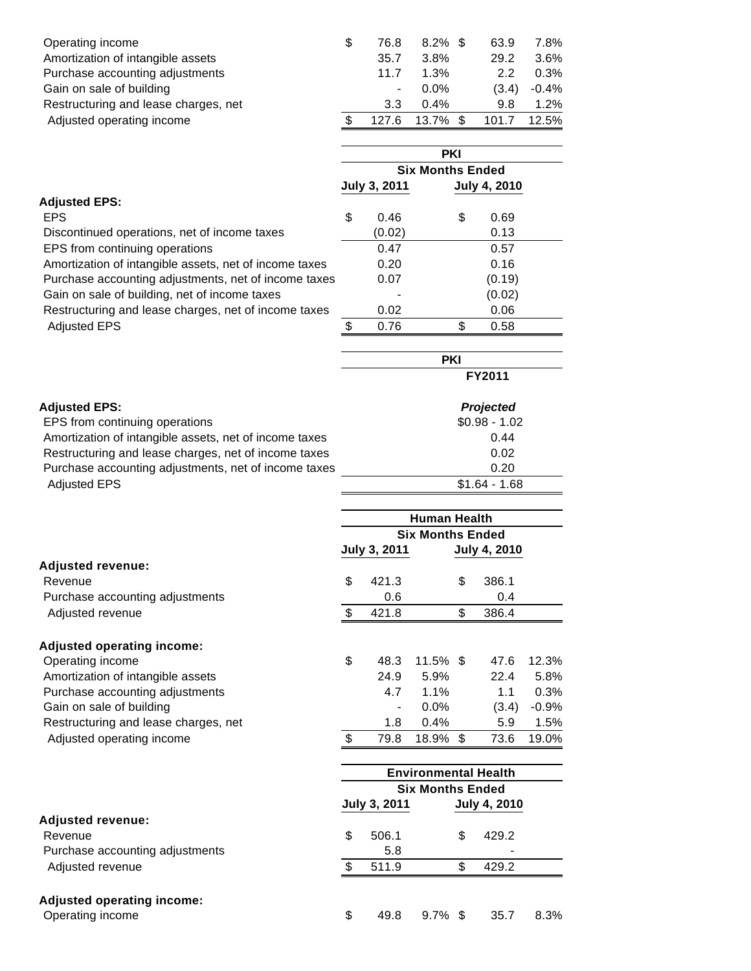| Operating income                     | 76.8 | $8.2\%$ \$     | 63.9  | 7.8%    |
|--------------------------------------|------|----------------|-------|---------|
| Amortization of intangible assets    | 35.7 | 3.8%           | 29.2  | 3.6%    |
| Purchase accounting adjustments      | 11.7 | 1.3%           | 22    | $0.3\%$ |
| Gain on sale of building             |      | $0.0\%$        | (3.4) | -0.4%   |
| Restructuring and lease charges, net | 3.3  | $0.4\%$        | 9.8   | $1.2\%$ |
| Adjusted operating income            |      | 127.6 13.7% \$ | 101.7 | 12.5%   |

|                                                        | <b>PKI</b>                  |                     |            |                         |                     |         |  |
|--------------------------------------------------------|-----------------------------|---------------------|------------|-------------------------|---------------------|---------|--|
|                                                        |                             |                     |            | <b>Six Months Ended</b> |                     |         |  |
|                                                        |                             | July 3, 2011        |            |                         | <b>July 4, 2010</b> |         |  |
| <b>Adjusted EPS:</b>                                   |                             |                     |            |                         |                     |         |  |
| <b>EPS</b>                                             | \$                          | 0.46                |            | \$                      | 0.69                |         |  |
| Discontinued operations, net of income taxes           |                             | (0.02)              |            |                         | 0.13                |         |  |
| EPS from continuing operations                         |                             | 0.47                |            |                         | 0.57                |         |  |
| Amortization of intangible assets, net of income taxes |                             | 0.20                |            |                         | 0.16                |         |  |
| Purchase accounting adjustments, net of income taxes   |                             | 0.07                |            |                         | (0.19)              |         |  |
| Gain on sale of building, net of income taxes          |                             |                     |            |                         | (0.02)              |         |  |
| Restructuring and lease charges, net of income taxes   |                             | 0.02                |            |                         | 0.06                |         |  |
| <b>Adjusted EPS</b>                                    | \$                          | 0.76                |            | \$                      | 0.58                |         |  |
|                                                        | <b>PKI</b>                  |                     |            |                         |                     |         |  |
|                                                        |                             |                     |            |                         | FY2011              |         |  |
| <b>Adjusted EPS:</b>                                   |                             |                     |            |                         | <b>Projected</b>    |         |  |
| EPS from continuing operations                         |                             |                     |            |                         | $$0.98 - 1.02$      |         |  |
| Amortization of intangible assets, net of income taxes |                             |                     |            |                         | 0.44                |         |  |
| Restructuring and lease charges, net of income taxes   |                             |                     |            |                         | 0.02                |         |  |
| Purchase accounting adjustments, net of income taxes   |                             |                     |            |                         | 0.20                |         |  |
| <b>Adjusted EPS</b>                                    |                             |                     |            |                         | $$1.64 - 1.68$      |         |  |
|                                                        | <b>Human Health</b>         |                     |            |                         |                     |         |  |
|                                                        | <b>Six Months Ended</b>     |                     |            |                         |                     |         |  |
|                                                        |                             | <b>July 3, 2011</b> |            |                         | <b>July 4, 2010</b> |         |  |
| <b>Adjusted revenue:</b>                               |                             |                     |            |                         |                     |         |  |
| Revenue                                                | \$                          | 421.3               |            | \$                      | 386.1               |         |  |
| Purchase accounting adjustments                        |                             | 0.6                 |            |                         | 0.4                 |         |  |
| Adjusted revenue                                       | \$                          | 421.8               |            | \$                      | 386.4               |         |  |
| <b>Adjusted operating income:</b>                      |                             |                     |            |                         |                     |         |  |
| Operating income                                       | \$                          | 48.3                | 11.5% \$   |                         | 47.6                | 12.3%   |  |
| Amortization of intangible assets                      |                             | 24.9                | 5.9%       |                         | 22.4                | 5.8%    |  |
| Purchase accounting adjustments                        |                             | 4.7                 | 1.1%       |                         | 1.1                 | $0.3\%$ |  |
| Gain on sale of building                               |                             | -                   | 0.0%       |                         | (3.4)               | $-0.9%$ |  |
| Restructuring and lease charges, net                   |                             | 1.8                 | 0.4%       |                         | 5.9                 | 1.5%    |  |
| Adjusted operating income                              | \$                          | 79.8                | 18.9% \$   |                         | 73.6                | 19.0%   |  |
|                                                        | <b>Environmental Health</b> |                     |            |                         |                     |         |  |
|                                                        | <b>Six Months Ended</b>     |                     |            |                         |                     |         |  |
|                                                        |                             | <b>July 3, 2011</b> |            |                         | <b>July 4, 2010</b> |         |  |
| <b>Adjusted revenue:</b><br>Revenue                    | \$                          | 506.1               |            | \$                      | 429.2               |         |  |
| Purchase accounting adjustments                        |                             | 5.8                 |            |                         |                     |         |  |
|                                                        |                             |                     |            | \$                      | 429.2               |         |  |
| Adjusted revenue                                       | \$                          | 511.9               |            |                         |                     |         |  |
| <b>Adjusted operating income:</b>                      |                             |                     |            |                         |                     |         |  |
| Operating income                                       | \$                          | 49.8                | $9.7\%$ \$ |                         | 35.7                | 8.3%    |  |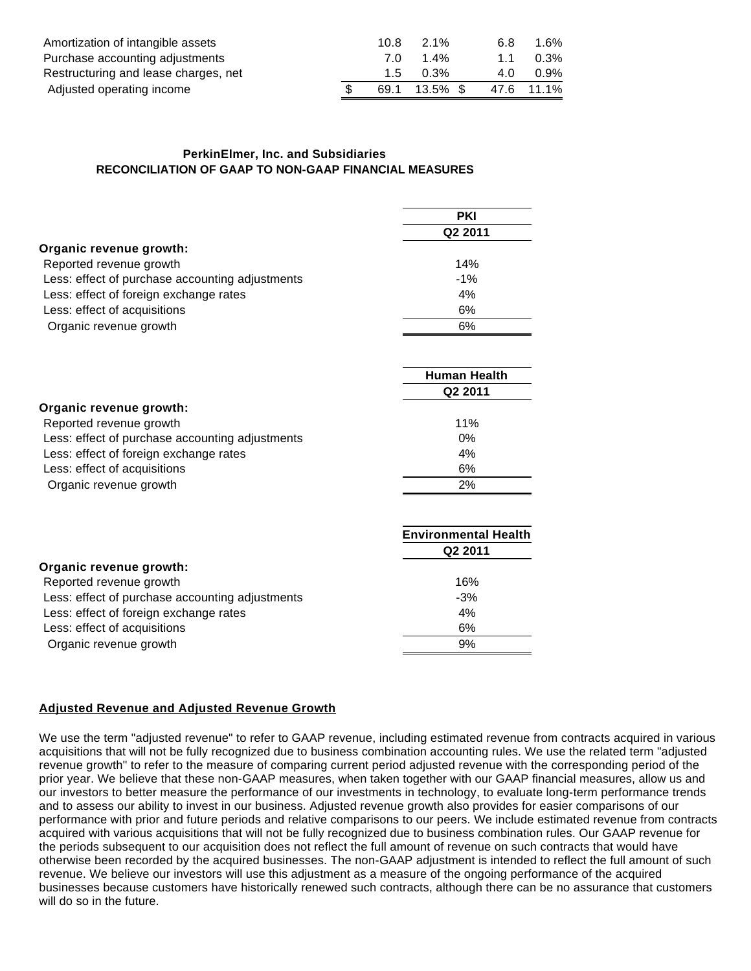| Amortization of intangible assets    | 10.8 | $2.1\%$       | 6.8 | $1.6\%$    |
|--------------------------------------|------|---------------|-----|------------|
| Purchase accounting adjustments      | 7 O  | $1.4\%$       | 11  | $0.3\%$    |
| Restructuring and lease charges, net | 1.5  | 0.3%          | 4.0 | $0.9\%$    |
| Adjusted operating income            |      | 69.1 13.5% \$ |     | 47.6 11.1% |

## **PerkinElmer, Inc. and Subsidiaries RECONCILIATION OF GAAP TO NON-GAAP FINANCIAL MEASURES**

|                                                 | <b>PKI</b>                  |
|-------------------------------------------------|-----------------------------|
|                                                 | Q2 2011                     |
| Organic revenue growth:                         |                             |
| Reported revenue growth                         | 14%                         |
| Less: effect of purchase accounting adjustments | $-1\%$                      |
| Less: effect of foreign exchange rates          | 4%                          |
| Less: effect of acquisitions                    | 6%                          |
| Organic revenue growth                          | 6%                          |
|                                                 |                             |
|                                                 | <b>Human Health</b>         |
|                                                 | Q2 2011                     |
| Organic revenue growth:                         |                             |
| Reported revenue growth                         | 11%                         |
| Less: effect of purchase accounting adjustments | 0%                          |
| Less: effect of foreign exchange rates          | 4%                          |
| Less: effect of acquisitions                    | 6%                          |
| Organic revenue growth                          | 2%                          |
|                                                 |                             |
|                                                 | <b>Environmental Health</b> |
|                                                 | Q2 2011                     |
| Organic revenue growth:                         |                             |
| Reported revenue growth                         | 16%                         |
| Less: effect of purchase accounting adjustments | $-3%$                       |
| Less: effect of foreign exchange rates          | 4%                          |
| Less: effect of acquisitions                    | 6%                          |

Organic revenue growth 9%

#### **Adjusted Revenue and Adjusted Revenue Growth**

We use the term "adjusted revenue" to refer to GAAP revenue, including estimated revenue from contracts acquired in various acquisitions that will not be fully recognized due to business combination accounting rules. We use the related term "adjusted revenue growth" to refer to the measure of comparing current period adjusted revenue with the corresponding period of the prior year. We believe that these non-GAAP measures, when taken together with our GAAP financial measures, allow us and our investors to better measure the performance of our investments in technology, to evaluate long-term performance trends and to assess our ability to invest in our business. Adjusted revenue growth also provides for easier comparisons of our performance with prior and future periods and relative comparisons to our peers. We include estimated revenue from contracts acquired with various acquisitions that will not be fully recognized due to business combination rules. Our GAAP revenue for the periods subsequent to our acquisition does not reflect the full amount of revenue on such contracts that would have otherwise been recorded by the acquired businesses. The non-GAAP adjustment is intended to reflect the full amount of such revenue. We believe our investors will use this adjustment as a measure of the ongoing performance of the acquired businesses because customers have historically renewed such contracts, although there can be no assurance that customers will do so in the future.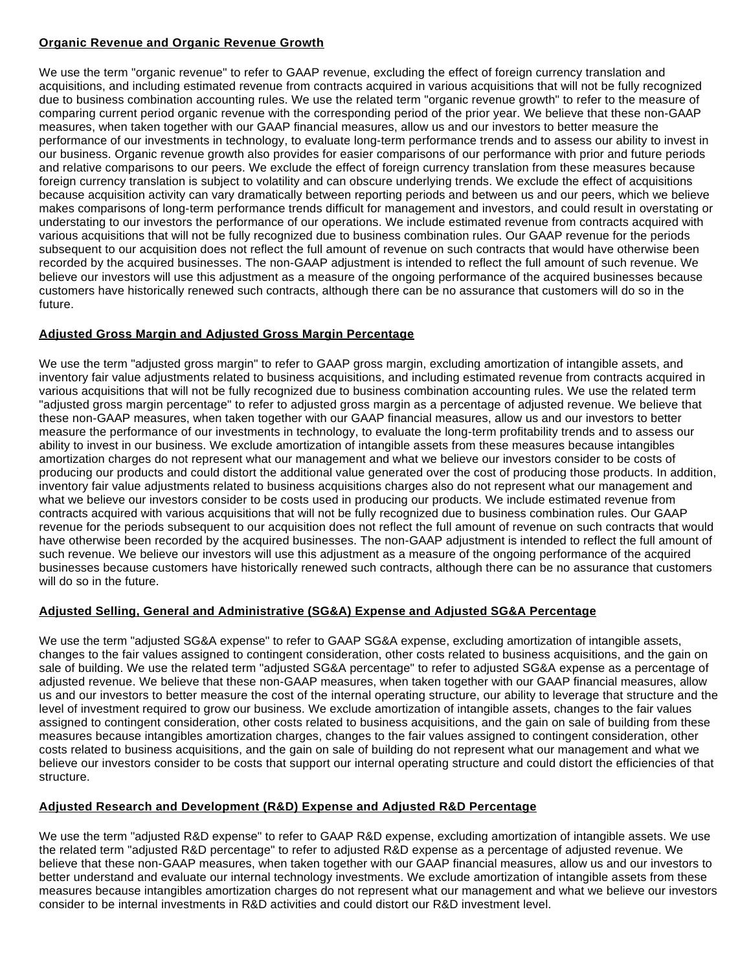## **Organic Revenue and Organic Revenue Growth**

We use the term "organic revenue" to refer to GAAP revenue, excluding the effect of foreign currency translation and acquisitions, and including estimated revenue from contracts acquired in various acquisitions that will not be fully recognized due to business combination accounting rules. We use the related term "organic revenue growth" to refer to the measure of comparing current period organic revenue with the corresponding period of the prior year. We believe that these non-GAAP measures, when taken together with our GAAP financial measures, allow us and our investors to better measure the performance of our investments in technology, to evaluate long-term performance trends and to assess our ability to invest in our business. Organic revenue growth also provides for easier comparisons of our performance with prior and future periods and relative comparisons to our peers. We exclude the effect of foreign currency translation from these measures because foreign currency translation is subject to volatility and can obscure underlying trends. We exclude the effect of acquisitions because acquisition activity can vary dramatically between reporting periods and between us and our peers, which we believe makes comparisons of long-term performance trends difficult for management and investors, and could result in overstating or understating to our investors the performance of our operations. We include estimated revenue from contracts acquired with various acquisitions that will not be fully recognized due to business combination rules. Our GAAP revenue for the periods subsequent to our acquisition does not reflect the full amount of revenue on such contracts that would have otherwise been recorded by the acquired businesses. The non-GAAP adjustment is intended to reflect the full amount of such revenue. We believe our investors will use this adjustment as a measure of the ongoing performance of the acquired businesses because customers have historically renewed such contracts, although there can be no assurance that customers will do so in the future.

## **Adjusted Gross Margin and Adjusted Gross Margin Percentage**

We use the term "adjusted gross margin" to refer to GAAP gross margin, excluding amortization of intangible assets, and inventory fair value adjustments related to business acquisitions, and including estimated revenue from contracts acquired in various acquisitions that will not be fully recognized due to business combination accounting rules. We use the related term "adjusted gross margin percentage" to refer to adjusted gross margin as a percentage of adjusted revenue. We believe that these non-GAAP measures, when taken together with our GAAP financial measures, allow us and our investors to better measure the performance of our investments in technology, to evaluate the long-term profitability trends and to assess our ability to invest in our business. We exclude amortization of intangible assets from these measures because intangibles amortization charges do not represent what our management and what we believe our investors consider to be costs of producing our products and could distort the additional value generated over the cost of producing those products. In addition, inventory fair value adjustments related to business acquisitions charges also do not represent what our management and what we believe our investors consider to be costs used in producing our products. We include estimated revenue from contracts acquired with various acquisitions that will not be fully recognized due to business combination rules. Our GAAP revenue for the periods subsequent to our acquisition does not reflect the full amount of revenue on such contracts that would have otherwise been recorded by the acquired businesses. The non-GAAP adjustment is intended to reflect the full amount of such revenue. We believe our investors will use this adjustment as a measure of the ongoing performance of the acquired businesses because customers have historically renewed such contracts, although there can be no assurance that customers will do so in the future.

## **Adjusted Selling, General and Administrative (SG&A) Expense and Adjusted SG&A Percentage**

We use the term "adjusted SG&A expense" to refer to GAAP SG&A expense, excluding amortization of intangible assets, changes to the fair values assigned to contingent consideration, other costs related to business acquisitions, and the gain on sale of building. We use the related term "adjusted SG&A percentage" to refer to adjusted SG&A expense as a percentage of adjusted revenue. We believe that these non-GAAP measures, when taken together with our GAAP financial measures, allow us and our investors to better measure the cost of the internal operating structure, our ability to leverage that structure and the level of investment required to grow our business. We exclude amortization of intangible assets, changes to the fair values assigned to contingent consideration, other costs related to business acquisitions, and the gain on sale of building from these measures because intangibles amortization charges, changes to the fair values assigned to contingent consideration, other costs related to business acquisitions, and the gain on sale of building do not represent what our management and what we believe our investors consider to be costs that support our internal operating structure and could distort the efficiencies of that structure.

## **Adjusted Research and Development (R&D) Expense and Adjusted R&D Percentage**

We use the term "adjusted R&D expense" to refer to GAAP R&D expense, excluding amortization of intangible assets. We use the related term "adjusted R&D percentage" to refer to adjusted R&D expense as a percentage of adjusted revenue. We believe that these non-GAAP measures, when taken together with our GAAP financial measures, allow us and our investors to better understand and evaluate our internal technology investments. We exclude amortization of intangible assets from these measures because intangibles amortization charges do not represent what our management and what we believe our investors consider to be internal investments in R&D activities and could distort our R&D investment level.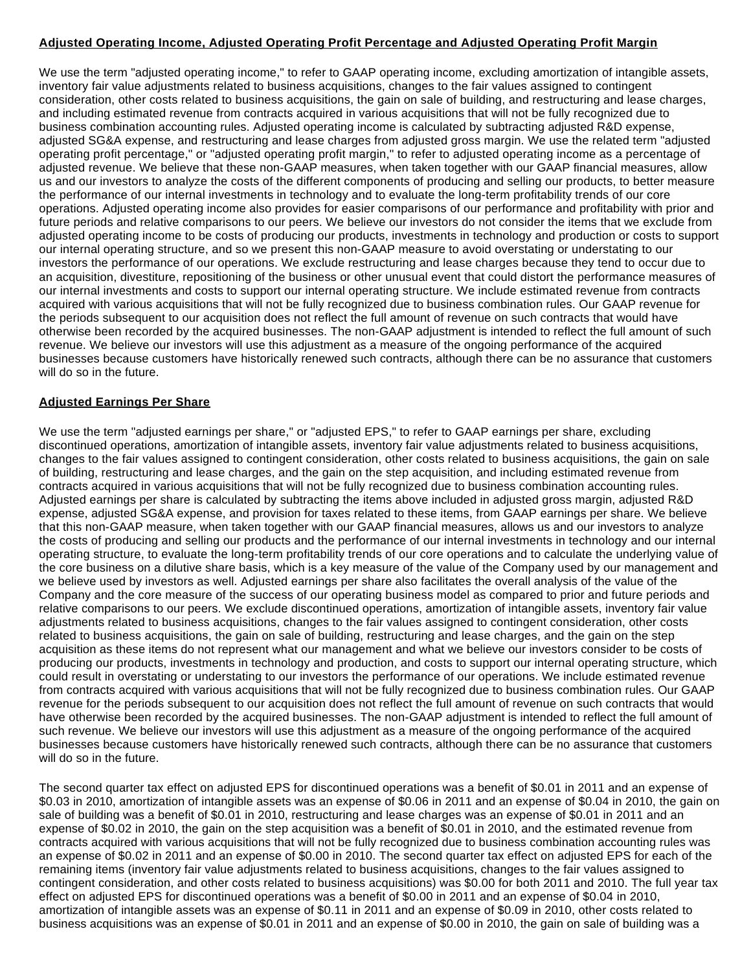## **Adjusted Operating Income, Adjusted Operating Profit Percentage and Adjusted Operating Profit Margin**

We use the term "adjusted operating income," to refer to GAAP operating income, excluding amortization of intangible assets, inventory fair value adjustments related to business acquisitions, changes to the fair values assigned to contingent consideration, other costs related to business acquisitions, the gain on sale of building, and restructuring and lease charges, and including estimated revenue from contracts acquired in various acquisitions that will not be fully recognized due to business combination accounting rules. Adjusted operating income is calculated by subtracting adjusted R&D expense, adjusted SG&A expense, and restructuring and lease charges from adjusted gross margin. We use the related term "adjusted operating profit percentage," or "adjusted operating profit margin," to refer to adjusted operating income as a percentage of adjusted revenue. We believe that these non-GAAP measures, when taken together with our GAAP financial measures, allow us and our investors to analyze the costs of the different components of producing and selling our products, to better measure the performance of our internal investments in technology and to evaluate the long-term profitability trends of our core operations. Adjusted operating income also provides for easier comparisons of our performance and profitability with prior and future periods and relative comparisons to our peers. We believe our investors do not consider the items that we exclude from adjusted operating income to be costs of producing our products, investments in technology and production or costs to support our internal operating structure, and so we present this non-GAAP measure to avoid overstating or understating to our investors the performance of our operations. We exclude restructuring and lease charges because they tend to occur due to an acquisition, divestiture, repositioning of the business or other unusual event that could distort the performance measures of our internal investments and costs to support our internal operating structure. We include estimated revenue from contracts acquired with various acquisitions that will not be fully recognized due to business combination rules. Our GAAP revenue for the periods subsequent to our acquisition does not reflect the full amount of revenue on such contracts that would have otherwise been recorded by the acquired businesses. The non-GAAP adjustment is intended to reflect the full amount of such revenue. We believe our investors will use this adjustment as a measure of the ongoing performance of the acquired businesses because customers have historically renewed such contracts, although there can be no assurance that customers will do so in the future.

## **Adjusted Earnings Per Share**

We use the term "adjusted earnings per share," or "adjusted EPS," to refer to GAAP earnings per share, excluding discontinued operations, amortization of intangible assets, inventory fair value adjustments related to business acquisitions, changes to the fair values assigned to contingent consideration, other costs related to business acquisitions, the gain on sale of building, restructuring and lease charges, and the gain on the step acquisition, and including estimated revenue from contracts acquired in various acquisitions that will not be fully recognized due to business combination accounting rules. Adjusted earnings per share is calculated by subtracting the items above included in adjusted gross margin, adjusted R&D expense, adjusted SG&A expense, and provision for taxes related to these items, from GAAP earnings per share. We believe that this non-GAAP measure, when taken together with our GAAP financial measures, allows us and our investors to analyze the costs of producing and selling our products and the performance of our internal investments in technology and our internal operating structure, to evaluate the long-term profitability trends of our core operations and to calculate the underlying value of the core business on a dilutive share basis, which is a key measure of the value of the Company used by our management and we believe used by investors as well. Adjusted earnings per share also facilitates the overall analysis of the value of the Company and the core measure of the success of our operating business model as compared to prior and future periods and relative comparisons to our peers. We exclude discontinued operations, amortization of intangible assets, inventory fair value adjustments related to business acquisitions, changes to the fair values assigned to contingent consideration, other costs related to business acquisitions, the gain on sale of building, restructuring and lease charges, and the gain on the step acquisition as these items do not represent what our management and what we believe our investors consider to be costs of producing our products, investments in technology and production, and costs to support our internal operating structure, which could result in overstating or understating to our investors the performance of our operations. We include estimated revenue from contracts acquired with various acquisitions that will not be fully recognized due to business combination rules. Our GAAP revenue for the periods subsequent to our acquisition does not reflect the full amount of revenue on such contracts that would have otherwise been recorded by the acquired businesses. The non-GAAP adjustment is intended to reflect the full amount of such revenue. We believe our investors will use this adjustment as a measure of the ongoing performance of the acquired businesses because customers have historically renewed such contracts, although there can be no assurance that customers will do so in the future.

The second quarter tax effect on adjusted EPS for discontinued operations was a benefit of \$0.01 in 2011 and an expense of \$0.03 in 2010, amortization of intangible assets was an expense of \$0.06 in 2011 and an expense of \$0.04 in 2010, the gain on sale of building was a benefit of \$0.01 in 2010, restructuring and lease charges was an expense of \$0.01 in 2011 and an expense of \$0.02 in 2010, the gain on the step acquisition was a benefit of \$0.01 in 2010, and the estimated revenue from contracts acquired with various acquisitions that will not be fully recognized due to business combination accounting rules was an expense of \$0.02 in 2011 and an expense of \$0.00 in 2010. The second quarter tax effect on adjusted EPS for each of the remaining items (inventory fair value adjustments related to business acquisitions, changes to the fair values assigned to contingent consideration, and other costs related to business acquisitions) was \$0.00 for both 2011 and 2010. The full year tax effect on adjusted EPS for discontinued operations was a benefit of \$0.00 in 2011 and an expense of \$0.04 in 2010, amortization of intangible assets was an expense of \$0.11 in 2011 and an expense of \$0.09 in 2010, other costs related to business acquisitions was an expense of \$0.01 in 2011 and an expense of \$0.00 in 2010, the gain on sale of building was a